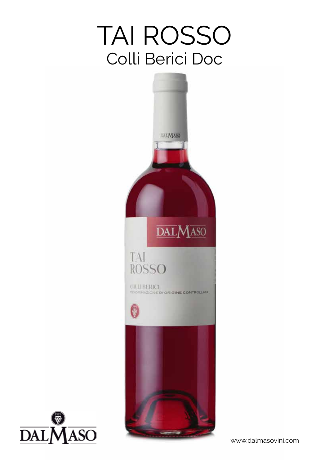## TAI ROSSO Colli Berici Doc





www.dalmasovini.com